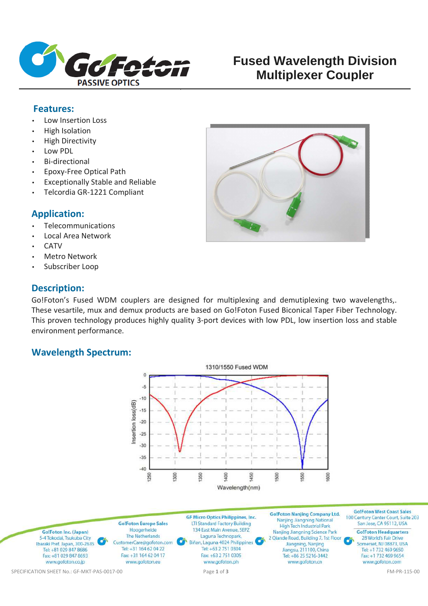

# **Fused Wavelength Division Multiplexer Coupler**

### **Features:**

- Low Insertion Loss
- High Isolation
- High Directivity
- Low PDL
- Bi-directional
- Epoxy-Free Optical Path
- Exceptionally Stable and Reliable
- Telcordia GR-1221 Compliant

### **Application:**

- Telecommunications
- Local Area Network
- **CATV**
- **Metro Network**
- Subscriber Loop

## **Description:**

Go!Foton's Fused WDM couplers are designed for multiplexing and demutiplexing two wavelengths,. These vesartile, mux and demux products are based on Go!Foton Fused Biconical Taper Fiber Technology. This proven technology produces highly quality 3-port devices with low PDL, low insertion loss and stable

## **Wavelength Spectrum:**

environment performance.





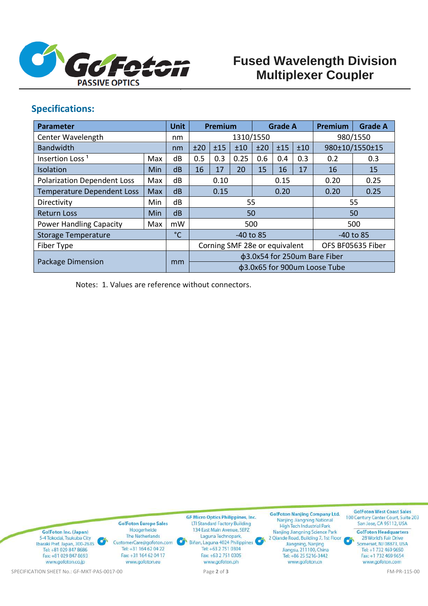

# **Fused Wavelength Division Multiplexer Coupler**

## **Specifications:**

| <b>Parameter</b>                   |            | <b>Unit</b>  | Premium                       |     | <b>Grade A</b> |      | <b>Premium</b> | <b>Grade A</b>    |                |     |
|------------------------------------|------------|--------------|-------------------------------|-----|----------------|------|----------------|-------------------|----------------|-----|
| Center Wavelength                  |            | nm           | 1310/1550                     |     |                |      |                | 980/1550          |                |     |
| <b>Bandwidth</b>                   |            | nm           | ±15<br>±20<br>±10             |     |                | ±20  | ±15<br>±10     |                   | 980±10/1550±15 |     |
| Insertion Loss <sup>1</sup>        | Max        | dB           | 0.5                           | 0.3 | 0.25           | 0.6  | 0.4            | 0.3               | 0.2            | 0.3 |
| Isolation                          | <b>Min</b> | dB           | 16                            | 17  | 20             | 15   | 16             | 17                | 16             | 15  |
| <b>Polarization Dependent Loss</b> | Max        | dB           | 0.10                          |     |                | 0.15 |                | 0.20              | 0.25           |     |
| <b>Temperature Dependent Loss</b>  | <b>Max</b> | dB           | 0.15                          |     |                | 0.20 |                | 0.20              | 0.25           |     |
| Directivity                        | Min        | dB           | 55                            |     |                |      |                | 55                |                |     |
| <b>Return Loss</b>                 | Min        | dB           | 50                            |     |                |      |                |                   | 50             |     |
| <b>Power Handling Capacity</b>     | Max        | mW           | 500                           |     |                |      |                | 500               |                |     |
| <b>Storage Temperature</b>         |            | $^{\circ}$ C | $-40$ to 85                   |     |                |      |                | $-40$ to 85       |                |     |
| Fiber Type                         |            |              | Corning SMF 28e or equivalent |     |                |      |                | OFS BF05635 Fiber |                |     |
| Package Dimension                  |            | mm           | φ3.0x54 for 250um Bare Fiber  |     |                |      |                |                   |                |     |
|                                    |            |              | φ3.0x65 for 900um Loose Tube  |     |                |      |                |                   |                |     |

Notes: 1. Values are reference without connectors.

**Go!Foton West Coast Sales Go!Foton Nanjing Company Ltd. GF Micro Optics Philippines, Inc.** 100 Century Center Court, Suite 203 Proton Nanjing Company<br>Nanjing Jiangning National<br>High Tech Industrial Park **GolFoton Europe Sales** LTI Standard Factory Building San Jose, CA 95112, USA 134 East Main Avenue, SEPZ Hoogerheide Go!Foton Inc. (Japan) Nanjing Jiangning Science Park **Go!Foton Headquarters** The Netherlands Laguna Technopark, 5-4 Tokodai, Tsukuba City 2 Qiande Road, Building 7, 1st Floor 28 World's Fair Drive Biñan, Laguna 4024 Philippines G Ibaraki Pref. Japan, 300-2635 CustomerCare@gofoton.com Jiangning, Nanjing Somerset, NJ 08873, USA Tel: +81 029 847 8686 Tel: +31 164 62 04 22 Tel: +63 2 751 0304 Jiangsu, 211100, China Tel: +1 732 469 9650 Fax: +81 029 847 8693 Fax: +31 164 62 04 17 Fax: +63 2 751 0305 Tel: +86 25 5216-3442 Fax: +1 732 469 9654 www.gofoton.co.jp www.gofoton.eu www.gofoton.ph www.gofoton.cn www.gofoton.com SPECIFICATION SHEET No.: GF-MKT-PAS-0017-00 Page **2** of **3** FM-PR-115-00